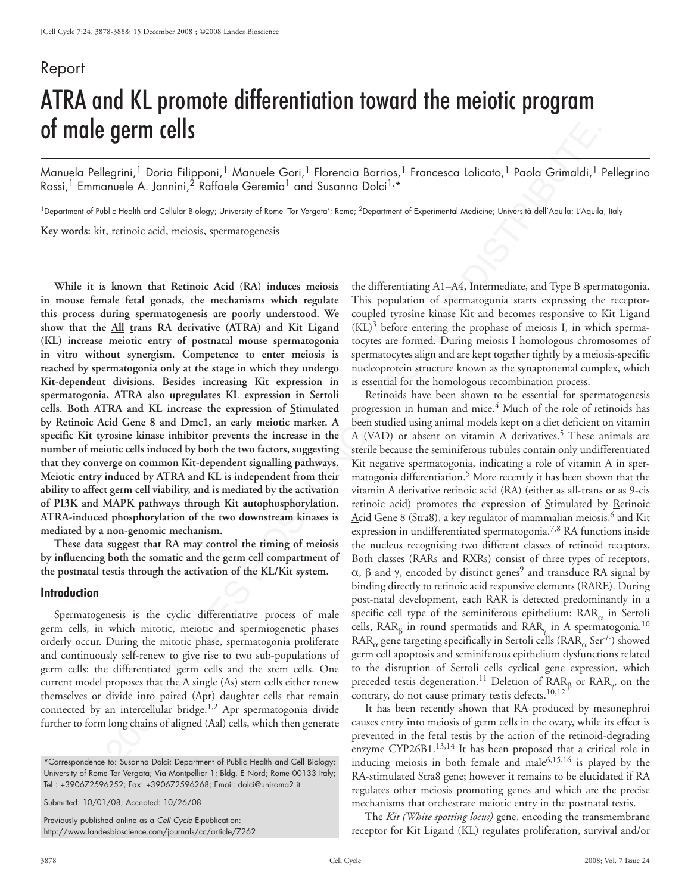# Report ATRA and KL promote differentiation toward the meiotic program of male germ cells

Manuela Pellegrini,<sup>1</sup> Doria Filipponi,<sup>1</sup> Manuele Gori,<sup>1</sup> Florencia Barrios,<sup>1</sup> Francesca Lolicato,<sup>1</sup> Paola Grimaldi,<sup>1</sup> Pellegrino Rossi,<sup>1</sup> Emmanuele A. Jannini,<sup>2</sup> Raffaele Geremia<sup>1</sup> and Susanna Dolci<sup>1,\*</sup>

<sup>1</sup>Department of Public Health and Cellular Biology; University of Rome 'Tor Vergata'; Rome; <sup>2</sup>Department of Experimental Medicine; Università dell'Aquila; L'Aquila, Italy

**Key words:** kit, retinoic acid, meiosis, spermatogenesis

**While it is known that Retinoic Acid (RA) induces meiosis in mouse female fetal gonads, the mechanisms which regulate this process during spermatogenesis are poorly understood. We**  show that the **All trans RA** derivative (ATRA) and Kit Ligand **(KL) increase meiotic entry of postnatal mouse spermatogonia in vitro without synergism. Competence to enter meiosis is reached by spermatogonia only at the stage in which they undergo Kit-dependent divisions. Besides increasing Kit expression in spermatogonia, ATRA also upregulates KL expression in Sertoli cells. Both ATRA and KL increase the expression of Stimulated by Retinoic Acid Gene 8 and Dmc1, an early meiotic marker. A specific Kit tyrosine kinase inhibitor prevents the increase in the number of meiotic cells induced by both the two factors, suggesting that they converge on common Kit-dependent signalling pathways. Meiotic entry induced by ATRA and KL is independent from their ability to affect germ cell viability, and is mediated by the activation of PI3K and MAPK pathways through Kit autophosphorylation. ATRA-induced phosphorylation of the two downstream kinases is mediated by a non-genomic mechanism.**

**These data suggest that RA may control the timing of meiosis by influencing both the somatic and the germ cell compartment of the postnatal testis through the activation of the KL/Kit system.**

# **Introduction**

Spermatogenesis is the cyclic differentiative process of male germ cells, in which mitotic, meiotic and spermiogenetic phases orderly occur. During the mitotic phase, spermatogonia proliferate and continuously self-renew to give rise to two sub-populations of germ cells: the differentiated germ cells and the stem cells. One current model proposes that the A single (As) stem cells either renew themselves or divide into paired (Apr) daughter cells that remain connected by an intercellular bridge.<sup>1,2</sup> Apr spermatogonia divide further to form long chains of aligned (Aal) cells, which then generate

Submitted: 10/01/08; Accepted: 10/26/08

Previously published online as a *Cell Cycle* E-publication: http://www.landesbioscience.com/journals/cc/article/7262 the differentiating A1–A4, Intermediate, and Type B spermatogonia. This population of spermatogonia starts expressing the receptorcoupled tyrosine kinase Kit and becomes responsive to Kit Ligand  $(KL)^3$  before entering the prophase of meiosis I, in which spermatocytes are formed. During meiosis I homologous chromosomes of spermatocytes align and are kept together tightly by a meiosis-specific nucleoprotein structure known as the synaptonemal complex, which is essential for the homologous recombination process.

**Pellegrom, Doria Tilipioni,** Monuvele Gori, Florencia Barrica, Francesco tolicato, Paolo Grimala, Pellegrini, Paolo Grimala, Pellegrini, Paolo Grimala, Pellegrini, Paolo Grimala, Paolo Grimala, Paolo Grimala, Paolo Grimal Retinoids have been shown to be essential for spermatogenesis progression in human and mice.<sup>4</sup> Much of the role of retinoids has been studied using animal models kept on a diet deficient on vitamin A (VAD) or absent on vitamin A derivatives.<sup>5</sup> These animals are sterile because the seminiferous tubules contain only undifferentiated Kit negative spermatogonia, indicating a role of vitamin A in spermatogonia differentiation.5 More recently it has been shown that the vitamin A derivative retinoic acid (RA) (either as all-trans or as 9-cis retinoic acid) promotes the expression of Stimulated by Retinoic Acid Gene 8 (Stra8), a key regulator of mammalian meiosis,  $6$  and Kit expression in undifferentiated spermatogonia.<sup>7,8</sup> RA functions inside the nucleus recognising two different classes of retinoid receptors. Both classes (RARs and RXRs) consist of three types of receptors,  $\alpha$ , β and γ, encoded by distinct genes<sup>9</sup> and transduce RA signal by binding directly to retinoic acid responsive elements (RARE). During post-natal development, each RAR is detected predominantly in a specific cell type of the seminiferous epithelium:  $RAR_{\alpha}$  in Sertoli cells,  $\text{RAR}_{\beta}$  in round spermatids and  $\text{RAR}_{\gamma}$  in A spermatogonia.<sup>10</sup>  $RAR_{\alpha}$  gene targeting specifically in Sertoli cells ( $RAR_{\alpha}$  Ser- $\prime$ -) showed germ cell apoptosis and seminiferous epithelium dysfunctions related to the disruption of Sertoli cells cyclical gene expression, which preceded testis degeneration.<sup>11</sup> Deletion of  $RAR_{\beta}$  or  $RAR_{\gamma}$ , on the contrary, do not cause primary testis defects.<sup>10,12</sup>

It has been recently shown that RA produced by mesonephroi causes entry into meiosis of germ cells in the ovary, while its effect is prevented in the fetal testis by the action of the retinoid-degrading enzyme CYP26B1.<sup>13,14</sup> It has been proposed that a critical role in inducing meiosis in both female and male  $6,15,16$  is played by the RA-stimulated Stra8 gene; however it remains to be elucidated if RA regulates other meiosis promoting genes and which are the precise mechanisms that orchestrate meiotic entry in the postnatal testis.

The *Kit (White spotting locus)* gene, encoding the transmembrane receptor for Kit Ligand (KL) regulates proliferation, survival and/or

<sup>\*</sup>Correspondence to: Susanna Dolci; Department of Public Health and Cell Biology; University of Rome Tor Vergata; Via Montpellier 1; Bldg. E Nord; Rome 00133 Italy; Tel.: +390672596252; Fax: +390672596268; Email: dolci@uniroma2.it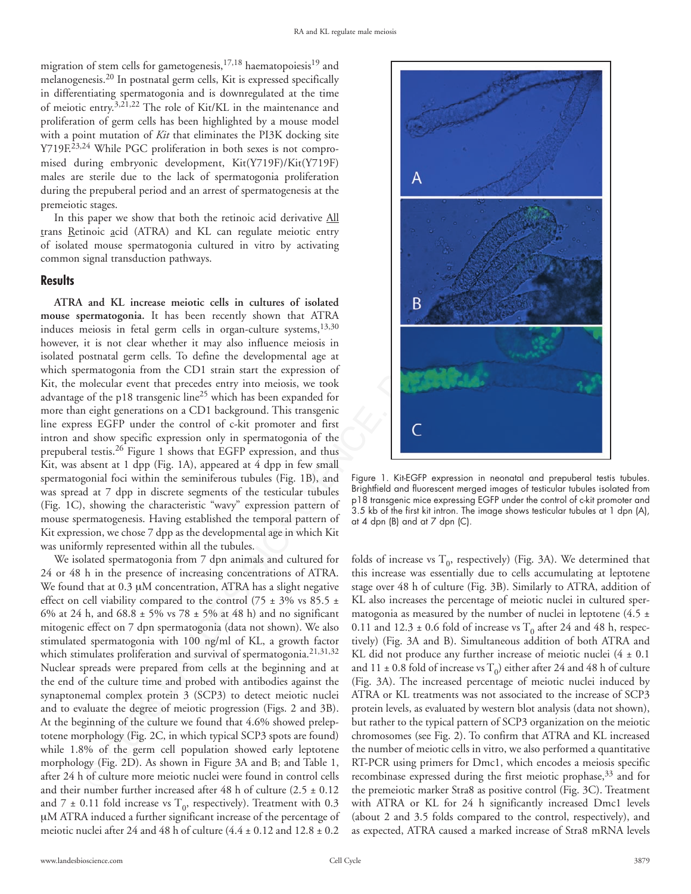migration of stem cells for gametogenesis,  $17,18$  haematopoiesis $19$  and melanogenesis.20 In postnatal germ cells, Kit is expressed specifically in differentiating spermatogonia and is downregulated at the time of meiotic entry.3,21,22 The role of Kit/KL in the maintenance and proliferation of germ cells has been highlighted by a mouse model with a point mutation of *Kit* that eliminates the PI3K docking site Y719F.<sup>23,24</sup> While PGC proliferation in both sexes is not compromised during embryonic development, Kit(Y719F)/Kit(Y719F) males are sterile due to the lack of spermatogonia proliferation during the prepuberal period and an arrest of spermatogenesis at the premeiotic stages.

In this paper we show that both the retinoic acid derivative All trans Retinoic acid (ATRA) and KL can regulate meiotic entry of isolated mouse spermatogonia cultured in vitro by activating common signal transduction pathways.

### **Results**

**ATRA and KL increase meiotic cells in cultures of isolated mouse spermatogonia.** It has been recently shown that ATRA induces meiosis in fetal germ cells in organ-culture systems,<sup>13,30</sup> however, it is not clear whether it may also influence meiosis in isolated postnatal germ cells. To define the developmental age at which spermatogonia from the CD1 strain start the expression of Kit, the molecular event that precedes entry into meiosis, we took advantage of the p18 transgenic line<sup>25</sup> which has been expanded for more than eight generations on a CD1 background. This transgenic line express EGFP under the control of c-kit promoter and first intron and show specific expression only in spermatogonia of the prepuberal testis.26 Figure 1 shows that EGFP expression, and thus Kit, was absent at 1 dpp (Fig. 1A), appeared at 4 dpp in few small spermatogonial foci within the seminiferous tubules (Fig. 1B), and was spread at 7 dpp in discrete segments of the testicular tubules (Fig. 1C), showing the characteristic "wavy" expression pattern of mouse spermatogenesis. Having established the temporal pattern of Kit expression, we chose 7 dpp as the developmental age in which Kit was uniformly represented within all the tubules.

We isolated spermatogonia from 7 dpn animals and cultured for 24 or 48 h in the presence of increasing concentrations of ATRA. We found that at 0.3 μM concentration, ATRA has a slight negative effect on cell viability compared to the control (75  $\pm$  3% vs 85.5  $\pm$ 6% at 24 h, and 68.8  $\pm$  5% vs 78  $\pm$  5% at 48 h) and no significant mitogenic effect on 7 dpn spermatogonia (data not shown). We also stimulated spermatogonia with 100 ng/ml of KL, a growth factor which stimulates proliferation and survival of spermatogonia.<sup>21,31,32</sup> Nuclear spreads were prepared from cells at the beginning and at the end of the culture time and probed with antibodies against the synaptonemal complex protein 3 (SCP3) to detect meiotic nuclei and to evaluate the degree of meiotic progression (Figs. 2 and 3B). At the beginning of the culture we found that 4.6% showed preleptotene morphology (Fig. 2C, in which typical SCP3 spots are found) while 1.8% of the germ cell population showed early leptotene morphology (Fig. 2D). As shown in Figure 3A and B; and Table 1, after 24 h of culture more meiotic nuclei were found in control cells and their number further increased after 48 h of culture  $(2.5 \pm 0.12)$ and 7  $\pm$  0.11 fold increase vs T<sub>0</sub>, respectively). Treatment with 0.3 μM ATRA induced a further significant increase of the percentage of meiotic nuclei after 24 and 48 h of culture  $(4.4 \pm 0.12$  and  $12.8 \pm 0.2$ 



Figure 1. Kit-EGFP expression in neonatal and prepuberal testis tubules. Brightfield and fluorescent merged images of testicular tubules isolated from p18 transgenic mice expressing EGFP under the control of c-kit promoter and 3.5 kb of the first kit intron. The image shows testicular tubules at 1 dpn (A), at 4 dpn (B) and at 7 dpn (C).

folds of increase vs  $T_0$ , respectively) (Fig. 3A). We determined that this increase was essentially due to cells accumulating at leptotene stage over 48 h of culture (Fig. 3B). Similarly to ATRA, addition of KL also increases the percentage of meiotic nuclei in cultured spermatogonia as measured by the number of nuclei in leptotene  $(4.5 \pm$ 0.11 and 12.3  $\pm$  0.6 fold of increase vs T<sub>0</sub> after 24 and 48 h, respectively) (Fig. 3A and B). Simultaneous addition of both ATRA and KL did not produce any further increase of meiotic nuclei (4 ± 0.1 and 11  $\pm$  0.8 fold of increase vs T<sub>0</sub>) either after 24 and 48 h of culture (Fig. 3A). The increased percentage of meiotic nuclei induced by ATRA or KL treatments was not associated to the increase of SCP3 protein levels, as evaluated by western blot analysis (data not shown), but rather to the typical pattern of SCP3 organization on the meiotic chromosomes (see Fig. 2). To confirm that ATRA and KL increased the number of meiotic cells in vitro, we also performed a quantitative RT-PCR using primers for Dmc1, which encodes a meiosis specific recombinase expressed during the first meiotic prophase,<sup>33</sup> and for the premeiotic marker Stra8 as positive control (Fig. 3C). Treatment with ATRA or KL for 24 h significantly increased Dmc1 levels (about 2 and 3.5 folds compared to the control, respectively), and as expected, ATRA caused a marked increase of Stra8 mRNA levels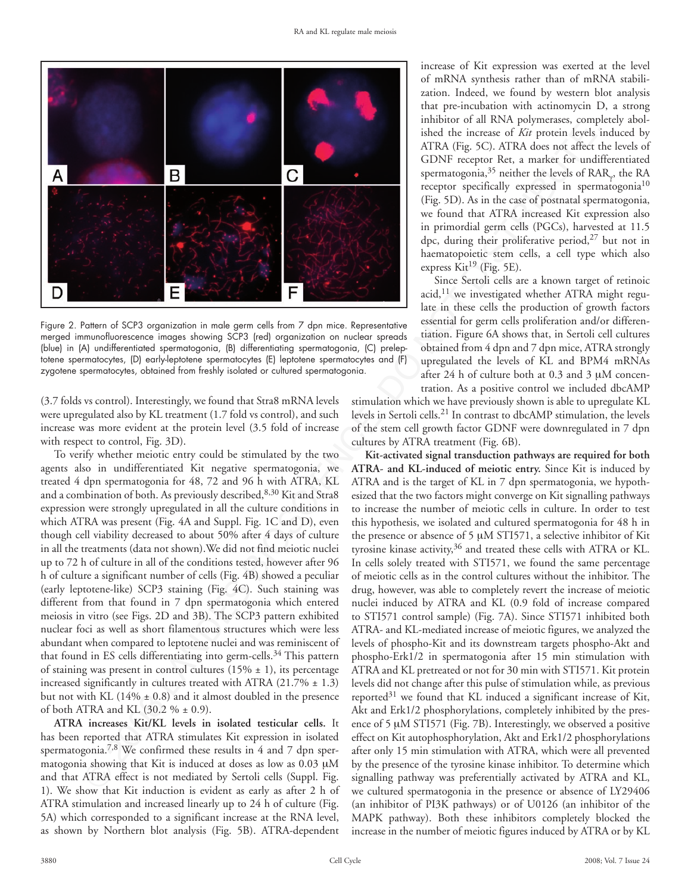

Figure 2. Pattern of SCP3 organization in male germ cells from 7 dpn mice. Representative merged immunofluorescence images showing SCP3 (red) organization on nuclear spreads (blue) in (A) undifferentiated spermatogonia, (B) differentiating spermatogonia, (C) preleptotene spermatocytes, (D) early-leptotene spermatocytes (E) leptotene spermatocytes and (F) zygotene spermatocytes, obtained from freshly isolated or cultured spermatogonia.

(3.7 folds vs control). Interestingly, we found that Stra8 mRNA levels were upregulated also by KL treatment (1.7 fold vs control), and such increase was more evident at the protein level (3.5 fold of increase with respect to control, Fig. 3D).

To verify whether meiotic entry could be stimulated by the two agents also in undifferentiated Kit negative spermatogonia, we treated 4 dpn spermatogonia for 48, 72 and 96 h with ATRA, KL and a combination of both. As previously described, 8,30 Kit and Stra8 expression were strongly upregulated in all the culture conditions in which ATRA was present (Fig. 4A and Suppl. Fig. 1C and D), even though cell viability decreased to about 50% after 4 days of culture in all the treatments (data not shown).We did not find meiotic nuclei up to 72 h of culture in all of the conditions tested, however after 96 h of culture a significant number of cells (Fig. 4B) showed a peculiar (early leptotene-like) SCP3 staining (Fig. 4C). Such staining was different from that found in 7 dpn spermatogonia which entered meiosis in vitro (see Figs. 2D and 3B). The SCP3 pattern exhibited nuclear foci as well as short filamentous structures which were less abundant when compared to leptotene nuclei and was reminiscent of that found in ES cells differentiating into germ-cells.<sup>34</sup> This pattern of staining was present in control cultures  $(15\% \pm 1)$ , its percentage increased significantly in cultures treated with ATRA  $(21.7\% \pm 1.3)$ but not with KL  $(14\% \pm 0.8)$  and it almost doubled in the presence of both ATRA and KL  $(30.2 % \pm 0.9)$ .

**ATRA increases Kit/KL levels in isolated testicular cells.** It has been reported that ATRA stimulates Kit expression in isolated spermatogonia.<sup>7,8</sup> We confirmed these results in 4 and 7 dpn spermatogonia showing that Kit is induced at doses as low as 0.03 μM and that ATRA effect is not mediated by Sertoli cells (Suppl. Fig. 1). We show that Kit induction is evident as early as after 2 h of ATRA stimulation and increased linearly up to 24 h of culture (Fig. 5A) which corresponded to a significant increase at the RNA level, as shown by Northern blot analysis (Fig. 5B). ATRA-dependent

increase of Kit expression was exerted at the level of mRNA synthesis rather than of mRNA stabilization. Indeed, we found by western blot analysis that pre-incubation with actinomycin D, a strong inhibitor of all RNA polymerases, completely abolished the increase of *Kit* protein levels induced by ATRA (Fig. 5C). ATRA does not affect the levels of GDNF receptor Ret, a marker for undifferentiated spermatogonia,<sup>35</sup> neither the levels of RAR<sub>γ</sub>, the RA receptor specifically expressed in spermatogonia<sup>10</sup> (Fig. 5D). As in the case of postnatal spermatogonia, we found that ATRA increased Kit expression also in primordial germ cells (PGCs), harvested at 11.5 dpc, during their proliferative period, $27$  but not in haematopoietic stem cells, a cell type which also express Kit<sup>19</sup> (Fig. 5E).

Since Sertoli cells are a known target of retinoic acid, $11$  we investigated whether ATRA might regulate in these cells the production of growth factors essential for germ cells proliferation and/or differentiation. Figure 6A shows that, in Sertoli cell cultures obtained from 4 dpn and 7 dpn mice, ATRA strongly upregulated the levels of KL and BPM4 mRNAs after 24 h of culture both at 0.3 and 3 μM concentration. As a positive control we included dbcAMP

stimulation which we have previously shown is able to upregulate KL levels in Sertoli cells.21 In contrast to dbcAMP stimulation, the levels of the stem cell growth factor GDNF were downregulated in 7 dpn cultures by ATRA treatment (Fig. 6B).

Hence the species of  $\mathbb{R}^n$  (Excelsion and the species of  $\mathbb{R}^n$  (Excelsion and the species of  $\mathbb{R}^n$  (Excelsion and the species of  $\mathbb{R}^n$  (Excelsion and the species of  $\mathbb{R}^n$  (Excelsion and the specie **Kit-activated signal transduction pathways are required for both ATRA- and KL-induced of meiotic entry.** Since Kit is induced by ATRA and is the target of KL in 7 dpn spermatogonia, we hypothesized that the two factors might converge on Kit signalling pathways to increase the number of meiotic cells in culture. In order to test this hypothesis, we isolated and cultured spermatogonia for 48 h in the presence or absence of 5 μM STI571, a selective inhibitor of Kit tyrosine kinase activity,<sup>36</sup> and treated these cells with ATRA or KL. In cells solely treated with STI571, we found the same percentage of meiotic cells as in the control cultures without the inhibitor. The drug, however, was able to completely revert the increase of meiotic nuclei induced by ATRA and KL (0.9 fold of increase compared to STI571 control sample) (Fig. 7A). Since STI571 inhibited both ATRA- and KL-mediated increase of meiotic figures, we analyzed the levels of phospho-Kit and its downstream targets phospho-Akt and phospho-Erk1/2 in spermatogonia after 15 min stimulation with ATRA and KL pretreated or not for 30 min with STI571. Kit protein levels did not change after this pulse of stimulation while, as previous reported $31$  we found that KL induced a significant increase of Kit, Akt and Erk1/2 phosphorylations, completely inhibited by the presence of 5 μM STI571 (Fig. 7B). Interestingly, we observed a positive effect on Kit autophosphorylation, Akt and Erk1/2 phosphorylations after only 15 min stimulation with ATRA, which were all prevented by the presence of the tyrosine kinase inhibitor. To determine which signalling pathway was preferentially activated by ATRA and KL, we cultured spermatogonia in the presence or absence of LY29406 (an inhibitor of PI3K pathways) or of U0126 (an inhibitor of the MAPK pathway). Both these inhibitors completely blocked the increase in the number of meiotic figures induced by ATRA or by KL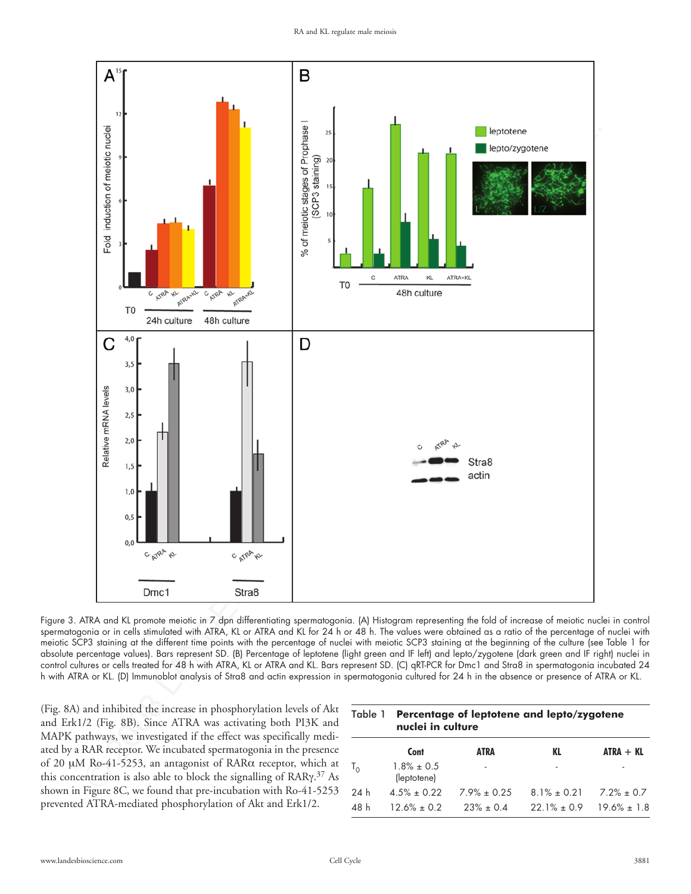

Figure 3. ATRA and KL promote meiotic in 7 dpn differentiating spermatogonia. (A) Histogram representing the fold of increase of meiotic nuclei in control spermatogonia or in cells stimulated with ATRA, KL or ATRA and KL for 24 h or 48 h. The values were obtained as a ratio of the percentage of nuclei with meiotic SCP3 staining at the different time points with the percentage of nuclei with meiotic SCP3 staining at the beginning of the culture (see Table 1 for absolute percentage values). Bars represent SD. (B) Percentage of leptotene (light green and IF left) and lepto/zygotene (dark green and IF right) nuclei in control cultures or cells treated for 48 h with ATRA, KL or ATRA and KL. Bars represent SD. (C) qRT-PCR for Dmc1 and Stra8 in spermatogonia incubated 24 h with ATRA or KL. (D) Immunoblot analysis of Stra8 and actin expression in spermatogonia cultured for 24 h in the absence or presence of ATRA or KL.

(Fig. 8A) and inhibited the increase in phosphorylation levels of Akt and Erk1/2 (Fig. 8B). Since ATRA was activating both PI3K and MAPK pathways, we investigated if the effect was specifically mediated by a RAR receptor. We incubated spermatogonia in the presence of 20 μM Ro-41-5253, an antagonist of RARα receptor, which at this concentration is also able to block the signalling of RARγ. 37 As shown in Figure 8C, we found that pre-incubation with Ro-41-5253 prevented ATRA-mediated phosphorylation of Akt and Erk1/2.

| Table 1      | Percentage of leptotene and lepto/zygotene<br>nuclei in culture |                  |                  |                 |  |
|--------------|-----------------------------------------------------------------|------------------|------------------|-----------------|--|
|              | Cont                                                            | ATRA             | KL               | $ATRA + KL$     |  |
| $T_{\Omega}$ | $1.8\% \pm 0.5$<br>(leptotene)                                  |                  | ٠                |                 |  |
| 24 h         | $4.5% + 0.22$                                                   | $7.9\% \pm 0.25$ | $8.1\% \pm 0.21$ | $7.2\% \pm 0.7$ |  |
| 48 h         | $12.6% + 0.2$                                                   | $23\% \pm 0.4$   | $22.1\% \pm 0.9$ | $19.6\% + 1.8$  |  |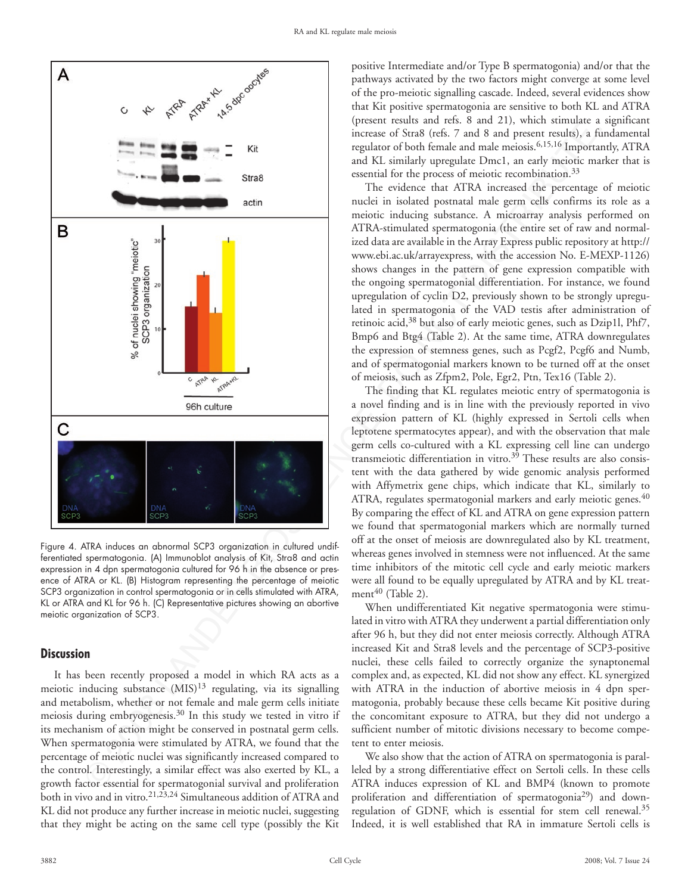

Figure 4. ATRA induces an abnormal SCP3 organization in cultured undifferentiated spermatogonia. (A) Immunoblot analysis of Kit, Stra8 and actin expression in 4 dpn spermatogonia cultured for 96 h in the absence or presence of ATRA or KL. (B) Histogram representing the percentage of meiotic SCP3 organization in control spermatogonia or in cells stimulated with ATRA, KL or ATRA and KL for 96 h. (C) Representative pictures showing an abortive meiotic organization of SCP3.

# **Discussion**

It has been recently proposed a model in which RA acts as a meiotic inducing substance (MIS)<sup>13</sup> regulating, via its signalling and metabolism, whether or not female and male germ cells initiate meiosis during embryogenesis.30 In this study we tested in vitro if its mechanism of action might be conserved in postnatal germ cells. When spermatogonia were stimulated by ATRA, we found that the percentage of meiotic nuclei was significantly increased compared to the control. Interestingly, a similar effect was also exerted by KL, a growth factor essential for spermatogonial survival and proliferation both in vivo and in vitro.<sup>21,23,24</sup> Simultaneous addition of ATRA and KL did not produce any further increase in meiotic nuclei, suggesting that they might be acting on the same cell type (possibly the Kit

positive Intermediate and/or Type B spermatogonia) and/or that the pathways activated by the two factors might converge at some level of the pro-meiotic signalling cascade. Indeed, several evidences show that Kit positive spermatogonia are sensitive to both KL and ATRA (present results and refs. 8 and 21), which stimulate a significant increase of Stra8 (refs. 7 and 8 and present results), a fundamental regulator of both female and male meiosis.6,15,16 Importantly, ATRA and KL similarly upregulate Dmc1, an early meiotic marker that is essential for the process of meiotic recombination.<sup>33</sup>

The evidence that ATRA increased the percentage of meiotic nuclei in isolated postnatal male germ cells confirms its role as a meiotic inducing substance. A microarray analysis performed on ATRA-stimulated spermatogonia (the entire set of raw and normalized data are available in the Array Express public repository at http:// www.ebi.ac.uk/arrayexpress, with the accession No. E-MEXP-1126) shows changes in the pattern of gene expression compatible with the ongoing spermatogonial differentiation. For instance, we found upregulation of cyclin D2, previously shown to be strongly upregulated in spermatogonia of the VAD testis after administration of retinoic acid,38 but also of early meiotic genes, such as Dzip1l, Phf7, Bmp6 and Btg4 (Table 2). At the same time, ATRA downregulates the expression of stemness genes, such as Pcgf2, Pcgf6 and Numb, and of spermatogonial markers known to be turned off at the onset of meiosis, such as Zfpm2, Pole, Egr2, Ptn, Tex16 (Table 2).

The finding that KL regulates meiotic entry of spermatogonia is a novel finding and is in line with the previously reported in vivo expression pattern of KL (highly expressed in Sertoli cells when leptotene spermatocytes appear), and with the observation that male germ cells co-cultured with a KL expressing cell line can undergo transmeiotic differentiation in vitro.<sup>39</sup> These results are also consistent with the data gathered by wide genomic analysis performed with Affymetrix gene chips, which indicate that KL, similarly to ATRA, regulates spermatogonial markers and early meiotic genes.<sup>40</sup> By comparing the effect of KL and ATRA on gene expression pattern we found that spermatogonial markers which are normally turned off at the onset of meiosis are downregulated also by KL treatment, whereas genes involved in stemness were not influenced. At the same time inhibitors of the mitotic cell cycle and early meiotic markers were all found to be equally upregulated by ATRA and by KL treatment $40$  (Table 2).

When undifferentiated Kit negative spermatogonia were stimulated in vitro with ATRA they underwent a partial differentiation only after 96 h, but they did not enter meiosis correctly. Although ATRA increased Kit and Stra8 levels and the percentage of SCP3-positive nuclei, these cells failed to correctly organize the synaptonemal complex and, as expected, KL did not show any effect. KL synergized with ATRA in the induction of abortive meiosis in 4 dpn spermatogonia, probably because these cells became Kit positive during the concomitant exposure to ATRA, but they did not undergo a sufficient number of mitotic divisions necessary to become competent to enter meiosis.

We also show that the action of ATRA on spermatogonia is paralleled by a strong differentiative effect on Sertoli cells. In these cells ATRA induces expression of KL and BMP4 (known to promote proliferation and differentiation of spermatogonia<sup>29</sup>) and downregulation of GDNF, which is essential for stem cell renewal.<sup>35</sup> Indeed, it is well established that RA in immature Sertoli cells is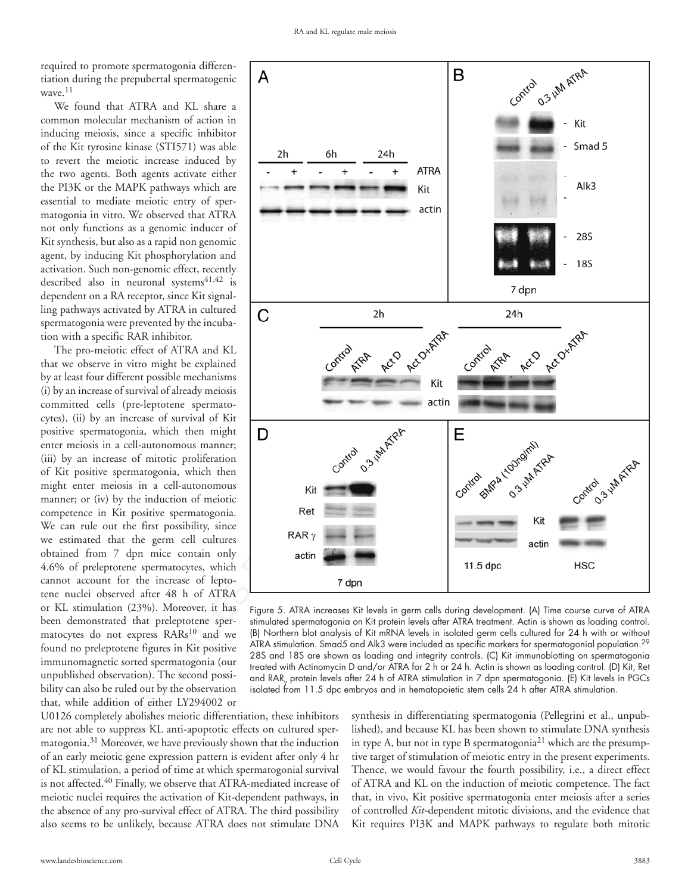required to promote spermatogonia differentiation during the prepubertal spermatogenic wave.<sup>11</sup>

We found that ATRA and KL share a common molecular mechanism of action in inducing meiosis, since a specific inhibitor of the Kit tyrosine kinase (STI571) was able to revert the meiotic increase induced by the two agents. Both agents activate either the PI3K or the MAPK pathways which are essential to mediate meiotic entry of spermatogonia in vitro. We observed that ATRA not only functions as a genomic inducer of Kit synthesis, but also as a rapid non genomic agent, by inducing Kit phosphorylation and activation. Such non-genomic effect, recently described also in neuronal systems $41,42$  is dependent on a RA receptor, since Kit signalling pathways activated by ATRA in cultured spermatogonia were prevented by the incubation with a specific RAR inhibitor.

The pro-meiotic effect of ATRA and KL that we observe in vitro might be explained by at least four different possible mechanisms (i) by an increase of survival of already meiosis committed cells (pre-leptotene spermatocytes), (ii) by an increase of survival of Kit positive spermatogonia, which then might enter meiosis in a cell-autonomous manner; (iii) by an increase of mitotic proliferation of Kit positive spermatogonia, which then might enter meiosis in a cell-autonomous manner; or (iv) by the induction of meiotic competence in Kit positive spermatogonia. We can rule out the first possibility, since we estimated that the germ cell cultures obtained from 7 dpn mice contain only 4.6% of preleptotene spermatocytes, which cannot account for the increase of leptotene nuclei observed after 48 h of ATRA or KL stimulation (23%). Moreover, it has been demonstrated that preleptotene spermatocytes do not express RARs<sup>10</sup> and we found no preleptotene figures in Kit positive immunomagnetic sorted spermatogonia (our unpublished observation). The second possibility can also be ruled out by the observation that, while addition of either LY294002 or



Figure 5. ATRA increases Kit levels in germ cells during development. (A) Time course curve of ATRA stimulated spermatogonia on Kit protein levels after ATRA treatment. Actin is shown as loading control. (B) Northern blot analysis of Kit mRNA levels in isolated germ cells cultured for 24 h with or without ATRA stimulation. Smad5 and Alk3 were included as specific markers for spermatogonial population.<sup>29</sup> 28S and 18S are shown as loading and integrity controls. (C) Kit immunoblotting on spermatogonia treated with Actinomycin D and/or ATRA for 2 h or 24 h. Actin is shown as loading control. (D) Kit, Ret and RAR<sup>γ</sup> protein levels after 24 h of ATRA stimulation in 7 dpn spermatogonia. (E) Kit levels in PGCs isolated from 11.5 dpc embryos and in hematopoietic stem cells 24 h after ATRA stimulation.

U0126 completely abolishes meiotic differentiation, these inhibitors are not able to suppress KL anti-apoptotic effects on cultured spermatogonia.31 Moreover, we have previously shown that the induction of an early meiotic gene expression pattern is evident after only 4 hr of KL stimulation, a period of time at which spermatogonial survival is not affected.<sup>40</sup> Finally, we observe that ATRA-mediated increase of meiotic nuclei requires the activation of Kit-dependent pathways, in the absence of any pro-survival effect of ATRA. The third possibility also seems to be unlikely, because ATRA does not stimulate DNA

synthesis in differentiating spermatogonia (Pellegrini et al., unpublished), and because KL has been shown to stimulate DNA synthesis in type A, but not in type B spermatogonia<sup>21</sup> which are the presumptive target of stimulation of meiotic entry in the present experiments. Thence, we would favour the fourth possibility, i.e., a direct effect of ATRA and KL on the induction of meiotic competence. The fact that, in vivo, Kit positive spermatogonia enter meiosis after a series of controlled *Kit*-dependent mitotic divisions, and the evidence that Kit requires PI3K and MAPK pathways to regulate both mitotic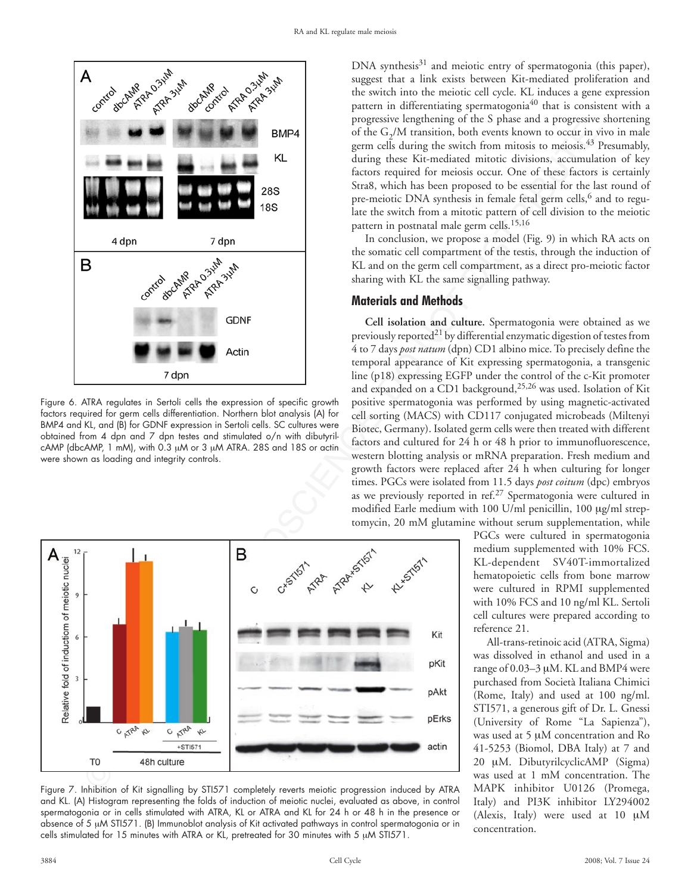

Figure 6. ATRA regulates in Sertoli cells the expression of specific growth factors required for germ cells differentiation. Northern blot analysis (A) for BMP4 and KL, and (B) for GDNF expression in Sertoli cells. SC cultures were obtained from 4 dpn and 7 dpn testes and stimulated o/n with dibutyrilcAMP (dbcAMP, 1 mM), with 0.3 μM or 3 μM ATRA. 28S and 18S or actin were shown as loading and integrity controls.

DNA synthesis<sup>31</sup> and meiotic entry of spermatogonia (this paper), suggest that a link exists between Kit-mediated proliferation and the switch into the meiotic cell cycle. KL induces a gene expression pattern in differentiating spermatogonia<sup>40</sup> that is consistent with a progressive lengthening of the S phase and a progressive shortening of the  $G_2/M$  transition, both events known to occur in vivo in male germ cells during the switch from mitosis to meiosis.<sup>43</sup> Presumably, during these Kit-mediated mitotic divisions, accumulation of key factors required for meiosis occur. One of these factors is certainly Stra8, which has been proposed to be essential for the last round of pre-meiotic DNA synthesis in female fetal germ cells,<sup>6</sup> and to regulate the switch from a mitotic pattern of cell division to the meiotic pattern in postnatal male germ cells.<sup>15,16</sup>

In conclusion, we propose a model (Fig. 9) in which RA acts on the somatic cell compartment of the testis, through the induction of KL and on the germ cell compartment, as a direct pro-meiotic factor sharing with KL the same signalling pathway.

### **Materials and Methods**

**Cell isolation and culture.** Spermatogonia were obtained as we previously reported<sup>21</sup> by differential enzymatic digestion of testes from 4 to 7 days *post natum* (dpn) CD1 albino mice. To precisely define the temporal appearance of Kit expressing spermatogonia, a transgenic line (p18) expressing EGFP under the control of the c-Kit promoter and expanded on a CD1 background,<sup>25,26</sup> was used. Isolation of Kit positive spermatogonia was performed by using magnetic-activated cell sorting (MACS) with CD117 conjugated microbeads (Miltenyi Biotec, Germany). Isolated germ cells were then treated with different factors and cultured for 24 h or 48 h prior to immunofluorescence, western blotting analysis or mRNA preparation. Fresh medium and growth factors were replaced after 24 h when culturing for longer times. PGCs were isolated from 11.5 days *post coitum* (dpc) embryos as we previously reported in ref.<sup>27</sup> Spermatogonia were cultured in modified Earle medium with 100 U/ml penicillin, 100 μg/ml streptomycin, 20 mM glutamine without serum supplementation, while



Figure 7. Inhibition of Kit signalling by STI571 completely reverts meiotic progression induced by ATRA and KL. (A) Histogram representing the folds of induction of meiotic nuclei, evaluated as above, in control spermatogonia or in cells stimulated with ATRA, KL or ATRA and KL for 24 h or 48 h in the presence or absence of 5 μM STI571. (B) Immunoblot analysis of Kit activated pathways in control spermatogonia or in cells stimulated for 15 minutes with ATRA or KL, pretreated for 30 minutes with 5 μM STI571.

PGCs were cultured in spermatogonia medium supplemented with 10% FCS. KL-dependent SV40T-immortalized hematopoietic cells from bone marrow were cultured in RPMI supplemented with 10% FCS and 10 ng/ml KL. Sertoli cell cultures were prepared according to reference 21.

All-trans-retinoic acid (ATRA, Sigma) was dissolved in ethanol and used in a range of 0.03–3 μM. KL and BMP4 were purchased from Società Italiana Chimici (Rome, Italy) and used at 100 ng/ml. STI571, a generous gift of Dr. L. Gnessi (University of Rome "La Sapienza"), was used at 5 μM concentration and Ro 41-5253 (Biomol, DBA Italy) at 7 and 20 μM. DibutyrilcyclicAMP (Sigma) was used at 1 mM concentration. The MAPK inhibitor U0126 (Promega, Italy) and PI3K inhibitor LY294002 (Alexis, Italy) were used at 10 μM concentration.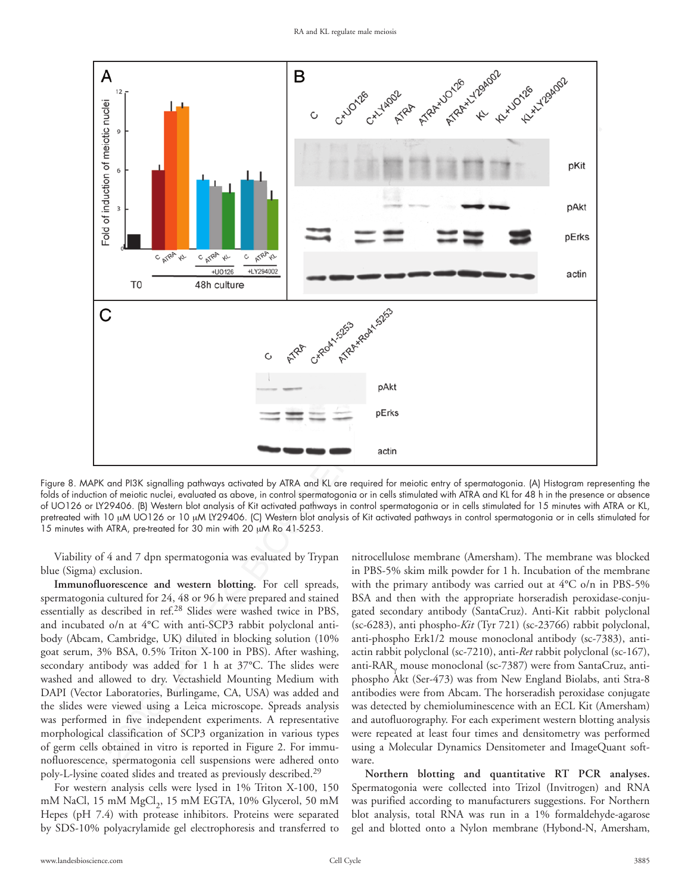

Figure 8. MAPK and PI3K signalling pathways activated by ATRA and KL are required for meiotic entry of spermatogonia. (A) Histogram representing the folds of induction of meiotic nuclei, evaluated as above, in control spermatogonia or in cells stimulated with ATRA and KL for 48 h in the presence or absence of UO126 or LY29406. (B) Western blot analysis of Kit activated pathways in control spermatogonia or in cells stimulated for 15 minutes with ATRA or KL, pretreated with 10 μM UO126 or 10 μM LY29406. (C) Western blot analysis of Kit activated pathways in control spermatogonia or in cells stimulated for 15 minutes with ATRA, pre-treated for 30 min with 20 μM Ro 41-5253.

Viability of 4 and 7 dpn spermatogonia was evaluated by Trypan blue (Sigma) exclusion.

**Immunofluorescence and western blotting.** For cell spreads, spermatogonia cultured for 24, 48 or 96 h were prepared and stained essentially as described in ref.28 Slides were washed twice in PBS, and incubated o/n at 4°C with anti-SCP3 rabbit polyclonal antibody (Abcam, Cambridge, UK) diluted in blocking solution (10% goat serum, 3% BSA, 0.5% Triton X-100 in PBS). After washing, secondary antibody was added for 1 h at 37°C. The slides were washed and allowed to dry. Vectashield Mounting Medium with DAPI (Vector Laboratories, Burlingame, CA, USA) was added and the slides were viewed using a Leica microscope. Spreads analysis was performed in five independent experiments. A representative morphological classification of SCP3 organization in various types of germ cells obtained in vitro is reported in Figure 2. For immunofluorescence, spermatogonia cell suspensions were adhered onto poly-L-lysine coated slides and treated as previously described.<sup>29</sup>

For western analysis cells were lysed in 1% Triton X-100, 150 mM NaCl, 15 mM MgCl<sub>2</sub>, 15 mM EGTA, 10% Glycerol, 50 mM Hepes (pH 7.4) with protease inhibitors. Proteins were separated by SDS-10% polyacrylamide gel electrophoresis and transferred to

nitrocellulose membrane (Amersham). The membrane was blocked in PBS-5% skim milk powder for 1 h. Incubation of the membrane with the primary antibody was carried out at 4°C o/n in PBS-5% BSA and then with the appropriate horseradish peroxidase-conjugated secondary antibody (SantaCruz). Anti-Kit rabbit polyclonal (sc-6283), anti phospho-*Kit* (Tyr 721) (sc-23766) rabbit polyclonal, anti-phospho Erk1/2 mouse monoclonal antibody (sc-7383), antiactin rabbit polyclonal (sc-7210), anti-*Ret* rabbit polyclonal (sc-167), anti-RAR<sup>γ</sup> mouse monoclonal (sc-7387) were from SantaCruz, antiphospho Akt (Ser-473) was from New England Biolabs, anti Stra-8 antibodies were from Abcam. The horseradish peroxidase conjugate was detected by chemioluminescence with an ECL Kit (Amersham) and autofluorography. For each experiment western blotting analysis were repeated at least four times and densitometry was performed using a Molecular Dynamics Densitometer and ImageQuant software.

**Northern blotting and quantitative RT PCR analyses.**  Spermatogonia were collected into Trizol (Invitrogen) and RNA was purified according to manufacturers suggestions. For Northern blot analysis, total RNA was run in a 1% formaldehyde-agarose gel and blotted onto a Nylon membrane (Hybond-N, Amersham,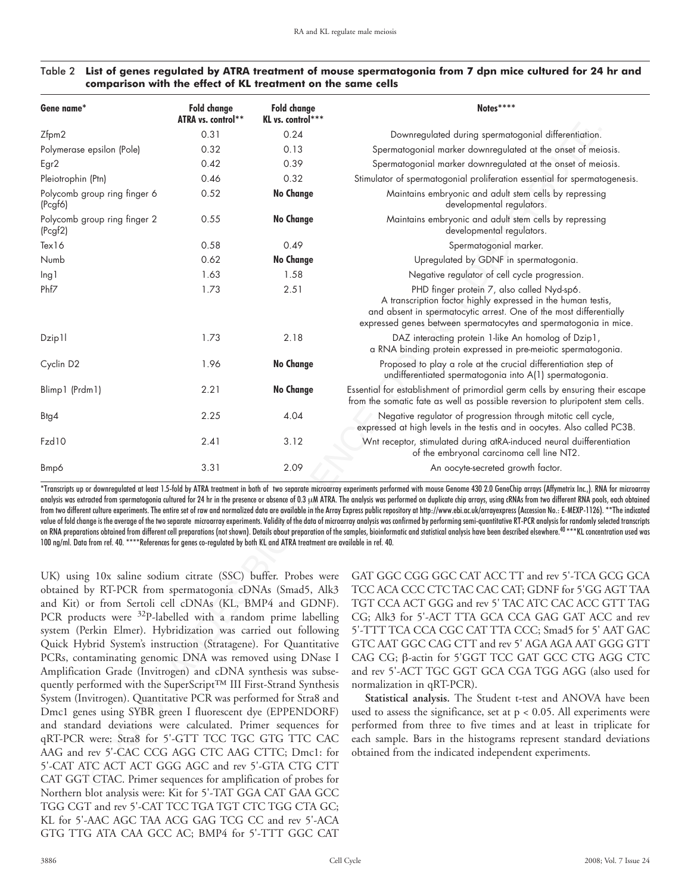| Gene name*                                                                                                                                                                                                                                                                                                                                                                                                                                                                                                                                                                                                                                                                                                                                                                                                                                                                                                                                                                                                                                | <b>Fold change</b><br>ATRA vs. control** | <b>Fold change</b><br>KL vs. control*** | Notes****                                                                                                                                                                                                                                                                                                                                                                                                                                                                                                                                                                                                                                                                                                                                                                                                                                                                                                               |
|-------------------------------------------------------------------------------------------------------------------------------------------------------------------------------------------------------------------------------------------------------------------------------------------------------------------------------------------------------------------------------------------------------------------------------------------------------------------------------------------------------------------------------------------------------------------------------------------------------------------------------------------------------------------------------------------------------------------------------------------------------------------------------------------------------------------------------------------------------------------------------------------------------------------------------------------------------------------------------------------------------------------------------------------|------------------------------------------|-----------------------------------------|-------------------------------------------------------------------------------------------------------------------------------------------------------------------------------------------------------------------------------------------------------------------------------------------------------------------------------------------------------------------------------------------------------------------------------------------------------------------------------------------------------------------------------------------------------------------------------------------------------------------------------------------------------------------------------------------------------------------------------------------------------------------------------------------------------------------------------------------------------------------------------------------------------------------------|
| Zfpm2                                                                                                                                                                                                                                                                                                                                                                                                                                                                                                                                                                                                                                                                                                                                                                                                                                                                                                                                                                                                                                     | 0.31                                     | 0.24                                    | Downregulated during spermatogonial differentiation.                                                                                                                                                                                                                                                                                                                                                                                                                                                                                                                                                                                                                                                                                                                                                                                                                                                                    |
| Polymerase epsilon (Pole)                                                                                                                                                                                                                                                                                                                                                                                                                                                                                                                                                                                                                                                                                                                                                                                                                                                                                                                                                                                                                 | 0.32                                     | 0.13                                    | Spermatogonial marker downregulated at the onset of meiosis.                                                                                                                                                                                                                                                                                                                                                                                                                                                                                                                                                                                                                                                                                                                                                                                                                                                            |
| Egr2                                                                                                                                                                                                                                                                                                                                                                                                                                                                                                                                                                                                                                                                                                                                                                                                                                                                                                                                                                                                                                      | 0.42                                     | 0.39                                    | Spermatogonial marker downregulated at the onset of meiosis.                                                                                                                                                                                                                                                                                                                                                                                                                                                                                                                                                                                                                                                                                                                                                                                                                                                            |
| Pleiotrophin (Ptn)                                                                                                                                                                                                                                                                                                                                                                                                                                                                                                                                                                                                                                                                                                                                                                                                                                                                                                                                                                                                                        | 0.46                                     | 0.32                                    | Stimulator of spermatogonial proliferation essential for spermatogenesis.                                                                                                                                                                                                                                                                                                                                                                                                                                                                                                                                                                                                                                                                                                                                                                                                                                               |
| Polycomb group ring finger 6<br>(Pcgf6)                                                                                                                                                                                                                                                                                                                                                                                                                                                                                                                                                                                                                                                                                                                                                                                                                                                                                                                                                                                                   | 0.52                                     | <b>No Change</b>                        | Maintains embryonic and adult stem cells by repressing<br>developmental regulators.                                                                                                                                                                                                                                                                                                                                                                                                                                                                                                                                                                                                                                                                                                                                                                                                                                     |
| Polycomb group ring finger 2<br>(Pcgf2)                                                                                                                                                                                                                                                                                                                                                                                                                                                                                                                                                                                                                                                                                                                                                                                                                                                                                                                                                                                                   | 0.55                                     | <b>No Change</b>                        | Maintains embryonic and adult stem cells by repressing<br>developmental regulators.                                                                                                                                                                                                                                                                                                                                                                                                                                                                                                                                                                                                                                                                                                                                                                                                                                     |
| Tex16                                                                                                                                                                                                                                                                                                                                                                                                                                                                                                                                                                                                                                                                                                                                                                                                                                                                                                                                                                                                                                     | 0.58                                     | 0.49                                    | Spermatogonial marker.                                                                                                                                                                                                                                                                                                                                                                                                                                                                                                                                                                                                                                                                                                                                                                                                                                                                                                  |
| Numb                                                                                                                                                                                                                                                                                                                                                                                                                                                                                                                                                                                                                                                                                                                                                                                                                                                                                                                                                                                                                                      | 0.62                                     | <b>No Change</b>                        | Upregulated by GDNF in spermatogonia.                                                                                                                                                                                                                                                                                                                                                                                                                                                                                                                                                                                                                                                                                                                                                                                                                                                                                   |
| Ing1                                                                                                                                                                                                                                                                                                                                                                                                                                                                                                                                                                                                                                                                                                                                                                                                                                                                                                                                                                                                                                      | 1.63                                     | 1.58                                    | Negative regulator of cell cycle progression.                                                                                                                                                                                                                                                                                                                                                                                                                                                                                                                                                                                                                                                                                                                                                                                                                                                                           |
| Phf7                                                                                                                                                                                                                                                                                                                                                                                                                                                                                                                                                                                                                                                                                                                                                                                                                                                                                                                                                                                                                                      | 1.73                                     | 2.51                                    | PHD finger protein 7, also called Nyd-sp6.<br>A transcription factor highly expressed in the human testis,<br>and absent in spermatocytic arrest. One of the most differentially<br>expressed genes between spermatocytes and spermatogonia in mice.                                                                                                                                                                                                                                                                                                                                                                                                                                                                                                                                                                                                                                                                    |
| Dzip11                                                                                                                                                                                                                                                                                                                                                                                                                                                                                                                                                                                                                                                                                                                                                                                                                                                                                                                                                                                                                                    | 1.73                                     | 2.18                                    | DAZ interacting protein 1-like An homolog of Dzip1,<br>a RNA binding protein expressed in pre-meiotic spermatogonia.                                                                                                                                                                                                                                                                                                                                                                                                                                                                                                                                                                                                                                                                                                                                                                                                    |
| Cyclin D2                                                                                                                                                                                                                                                                                                                                                                                                                                                                                                                                                                                                                                                                                                                                                                                                                                                                                                                                                                                                                                 | 1.96                                     | <b>No Change</b>                        | Proposed to play a role at the crucial differentiation step of<br>undifferentiated spermatogonia into A(1) spermatogonia.                                                                                                                                                                                                                                                                                                                                                                                                                                                                                                                                                                                                                                                                                                                                                                                               |
| Blimp1 (Prdm1)                                                                                                                                                                                                                                                                                                                                                                                                                                                                                                                                                                                                                                                                                                                                                                                                                                                                                                                                                                                                                            | 2.21                                     | <b>No Change</b>                        | Essential for establishment of primordial germ cells by ensuring their escape<br>from the somatic fate as well as possible reversion to pluripotent stem cells.                                                                                                                                                                                                                                                                                                                                                                                                                                                                                                                                                                                                                                                                                                                                                         |
| Btg4                                                                                                                                                                                                                                                                                                                                                                                                                                                                                                                                                                                                                                                                                                                                                                                                                                                                                                                                                                                                                                      | 2.25                                     | 4.04                                    | Negative regulator of progression through mitotic cell cycle,<br>expressed at high levels in the testis and in oocytes. Also called PC3B.                                                                                                                                                                                                                                                                                                                                                                                                                                                                                                                                                                                                                                                                                                                                                                               |
| Fzd10                                                                                                                                                                                                                                                                                                                                                                                                                                                                                                                                                                                                                                                                                                                                                                                                                                                                                                                                                                                                                                     | 2.41                                     | 3.12                                    | Wnt receptor, stimulated during atRA-induced neural duifferentiation<br>of the embryonal carcinoma cell line NT2.                                                                                                                                                                                                                                                                                                                                                                                                                                                                                                                                                                                                                                                                                                                                                                                                       |
| Bmp6                                                                                                                                                                                                                                                                                                                                                                                                                                                                                                                                                                                                                                                                                                                                                                                                                                                                                                                                                                                                                                      | 3.31                                     | 2.09                                    | An oocyte-secreted growth factor.                                                                                                                                                                                                                                                                                                                                                                                                                                                                                                                                                                                                                                                                                                                                                                                                                                                                                       |
| 100 ng/ml. Data from ref. 40. ****References for genes co-regulated by both KL and ATRA treatment are available in ref. 40.                                                                                                                                                                                                                                                                                                                                                                                                                                                                                                                                                                                                                                                                                                                                                                                                                                                                                                               |                                          |                                         | analysis was extracted from spermatogonia cultured for 24 hr in the presence or absence of 0.3 µM ATRA. The analysis was performed on duplicate chip arrays, using cRNAs from two different RNA pools, each obtained<br>from two different culture experiments. The entire set of raw and normalized data are available in the Array Express public repository at http://www.ebi.ac.uk/arrayexpress (Accession No.: E-MEXP-1126). **The indicated<br>value of fold change is the average of the two separate microarray experiments. Validity of the data of microarray analysis was confirmed by performing semi-quantitative RT-PCR analysis for randomly selected transcript<br>on RNA preparations obtained from different cell preparations (not shown). Details about preparation of the samples, bioinformatic and statistical analysis have been described elsewhere. <sup>40***</sup> KL concentration used wa |
| UK) using 10x saline sodium citrate (SSC) buffer. Probes were<br>obtained by RT-PCR from spermatogonia cDNAs (Smad5, Alk3<br>and Kit) or from Sertoli cell cDNAs (KL, BMP4 and GDNF).<br>PCR products were $32P$ -labelled with a random prime labelling<br>system (Perkin Elmer). Hybridization was carried out following<br>Quick Hybrid System's instruction (Stratagene). For Quantitative<br>PCRs, contaminating genomic DNA was removed using DNase I<br>Amplification Grade (Invitrogen) and cDNA synthesis was subse-<br>quently performed with the SuperScript™ III First-Strand Synthesis<br>System (Invitrogen). Quantitative PCR was performed for Stra8 and<br>Dmc1 genes using SYBR green I fluorescent dye (EPPENDORF)<br>and standard deviations were calculated. Primer sequences for<br>qRT-PCR were: Stra8 for 5'-GTT TCC TGC GTG TTC CAC<br>AAG and rev 5'-CAC CCG AGG CTC AAG CTTC; Dmc1: for<br>5'-CAT ATC ACT ACT GGG AGC and rev 5'-GTA CTG CTT<br>CAT GGT CTAC. Primer sequences for amplification of probes for |                                          |                                         | GAT GGC CGG GGC CAT ACC TT and rev 5'-TCA GCG GCA<br>TCC ACA CCC CTC TAC CAC CAT; GDNF for 5'GG AGT TAA<br>TGT CCA ACT GGG and rev 5' TAC ATC CAC ACC GTT TAG<br>CG; Alk3 for 5'-ACT TTA GCA CCA GAG GAT ACC and rev<br>5'-TTT TCA CCA CGC CAT TTA CCC; Smad5 for 5' AAT GAC<br>GTC AAT GGC CAG CTT and rev 5' AGA AGA AAT GGG GTT<br>CAG CG; $\beta$ -actin for 5'GGT TCC GAT GCC CTG AGG CTC<br>and rev 5'-ACT TGC GGT GCA CGA TGG AGG (also used for<br>normalization in qRT-PCR).<br>Statistical analysis. The Student t-test and ANOVA have been<br>used to assess the significance, set at $p < 0.05$ . All experiments were<br>performed from three to five times and at least in triplicate for<br>each sample. Bars in the histograms represent standard deviations<br>obtained from the indicated independent experiments.                                                                                    |

# Table 2 **List of genes regulated by ATRA treatment of mouse spermatogonia from 7 dpn mice cultured for 24 hr and comparison with the effect of KL treatment on the same cells**

UK) using 10x saline sodium citrate (SSC) buffer. Probes were obtained by RT-PCR from spermatogonia cDNAs (Smad5, Alk3 and Kit) or from Sertoli cell cDNAs (KL, BMP4 and GDNF). PCR products were <sup>32</sup>P-labelled with a random prime labelling system (Perkin Elmer). Hybridization was carried out following Quick Hybrid System's instruction (Stratagene). For Quantitative PCRs, contaminating genomic DNA was removed using DNase I Amplification Grade (Invitrogen) and cDNA synthesis was subsequently performed with the SuperScript™ III First-Strand Synthesis System (Invitrogen). Quantitative PCR was performed for Stra8 and Dmc1 genes using SYBR green I fluorescent dye (EPPENDORF) and standard deviations were calculated. Primer sequences for qRT-PCR were: Stra8 for 5'-GTT TCC TGC GTG TTC CAC AAG and rev 5'-CAC CCG AGG CTC AAG CTTC; Dmc1: for 5'-CAT ATC ACT ACT GGG AGC and rev 5'-GTA CTG CTT CAT GGT CTAC. Primer sequences for amplification of probes for Northern blot analysis were: Kit for 5'-TAT GGA CAT GAA GCC TGG CGT and rev 5'-CAT TCC TGA TGT CTC TGG CTA GC; KL for 5'-AAC AGC TAA ACG GAG TCG CC and rev 5'-ACA GTG TTG ATA CAA GCC AC; BMP4 for 5'-TTT GGC CAT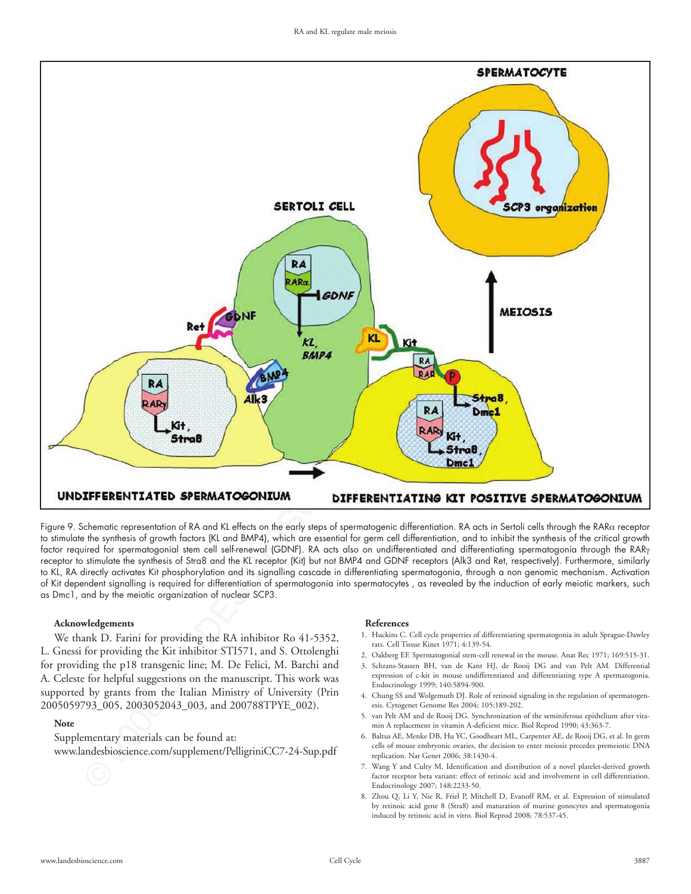

Figure 9. Schematic representation of RA and KL effects on the early steps of spermatogenic differentiation. RA acts in Sertoli cells through the RARα receptor to stimulate the synthesis of growth factors (KL and BMP4), which are essential for germ cell differentiation, and to inhibit the synthesis of the critical growth factor required for spermatogonial stem cell self-renewal (GDNF). RA acts also on undifferentiated and differentiating spermatogonia through the RAR<sub>Y</sub> receptor to stimulate the synthesis of Stra8 and the KL receptor (Kit) but not BMP4 and GDNF receptors (Alk3 and Ret, respectively). Furthermore, similarly to KL, RA directly activates Kit phosphorylation and its signalling cascade in differentiating spermatogonia, through a non genomic mechanism. Activation of Kit dependent signalling is required for differentiation of spermatogonia into spermatocytes , as revealed by the induction of early meiotic markers, such as Dmc1, and by the meiotic organization of nuclear SCP3.

#### **Acknowledgements**

We thank D. Farini for providing the RA inhibitor Ro 41-5352, L. Gnessi for providing the Kit inhibitor STI571, and S. Ottolenghi for providing the p18 transgenic line; M. De Felici, M. Barchi and A. Celeste for helpful suggestions on the manuscript. This work was supported by grants from the Italian Ministry of University (Prin 2005059793\_005, 2003052043\_003, and 200788TPYE\_002).

#### **Note**

Supplementary materials can be found at: www.landesbioscience.com/supplement/PelligriniCC7-24-Sup.pdf

#### **References**

- 1. Huckins C. Cell cycle properties of differentiating spermatogonia in adult Sprague-Dawley rats. Cell Tissue Kinet 1971; 4:139-54.
- 2. Oakberg EF. Spermatogonial stem-cell renewal in the mouse. Anat Rec 1971; 169:515-31.
- 3. Schrans-Stassen BH, van de Kant HJ, de Rooij DG and van Pelt AM. Differential expression of c-kit in mouse undifferentiated and differentiating type A spermatogonia. Endocrinology 1999; 140:5894-900.
- 4. Chung SS and Wolgemuth DJ. Role of retinoid signaling in the regulation of spermatogenesis. Cytogenet Genome Res 2004; 105:189-202.
- 5. van Pelt AM and de Rooij DG. Synchronization of the seminiferous epithelium after vitamin A replacement in vitamin A-deficient mice. Biol Reprod 1990; 43:363-7.
- 6. Baltus AE, Menke DB, Hu YC, Goodheart ML, Carpenter AE, de Rooij DG, et al. In germ cells of mouse embryonic ovaries, the decision to enter meiosis precedes premeiotic DNA replication. Nat Genet 2006; 38:1430-4.
- 7. Wang Y and Culty M. Identification and distribution of a novel platelet-derived growth factor receptor beta variant: effect of retinoic acid and involvement in cell differentiation. Endocrinology 2007; 148:2233-50.
- 8. Zhou Q, Li Y, Nie R, Friel P, Mitchell D, Evanoff RM, et al. Expression of stimulated by retinoic acid gene 8 (Stra8) and maturation of murine gonocytes and spermatogonia induced by retinoic acid in vitro. Biol Reprod 2008; 78:537-45.